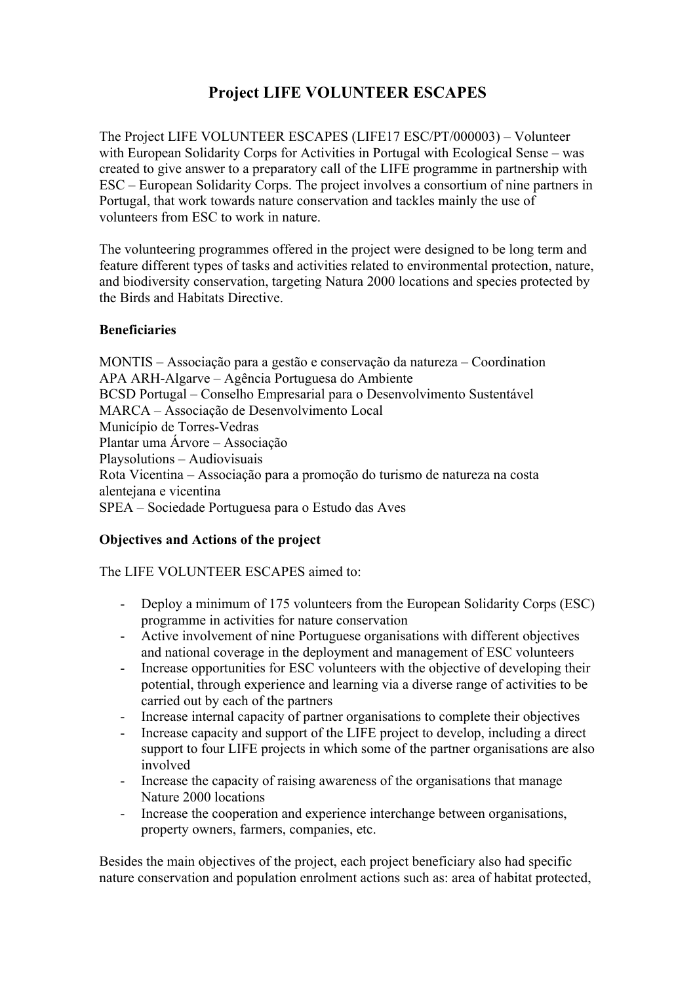# **Project LIFE VOLUNTEER ESCAPES**

The Project LIFE VOLUNTEER ESCAPES (LIFE17 ESC/PT/000003) – Volunteer with European Solidarity Corps for Activities in Portugal with Ecological Sense – was created to give answer to a preparatory call of the LIFE programme in partnership with ESC – European Solidarity Corps. The project involves a consortium of nine partners in Portugal, that work towards nature conservation and tackles mainly the use of volunteers from ESC to work in nature.

The volunteering programmes offered in the project were designed to be long term and feature different types of tasks and activities related to environmental protection, nature, and biodiversity conservation, targeting Natura 2000 locations and species protected by the Birds and Habitats Directive.

#### **Beneficiaries**

MONTIS – Associação para a gestão e conservação da natureza – Coordination APA ARH-Algarve – Agência Portuguesa do Ambiente BCSD Portugal – Conselho Empresarial para o Desenvolvimento Sustentável MARCA – Associação de Desenvolvimento Local Município de Torres-Vedras Plantar uma Árvore – Associação Playsolutions – Audiovisuais Rota Vicentina – Associação para a promoção do turismo de natureza na costa alentejana e vicentina SPEA – Sociedade Portuguesa para o Estudo das Aves

### **Objectives and Actions of the project**

#### The LIFE VOLUNTEER ESCAPES aimed to:

- Deploy a minimum of 175 volunteers from the European Solidarity Corps (ESC) programme in activities for nature conservation
- Active involvement of nine Portuguese organisations with different objectives and national coverage in the deployment and management of ESC volunteers
- Increase opportunities for ESC volunteers with the objective of developing their potential, through experience and learning via a diverse range of activities to be carried out by each of the partners
- Increase internal capacity of partner organisations to complete their objectives
- Increase capacity and support of the LIFE project to develop, including a direct support to four LIFE projects in which some of the partner organisations are also involved
- Increase the capacity of raising awareness of the organisations that manage Nature 2000 locations
- Increase the cooperation and experience interchange between organisations, property owners, farmers, companies, etc.

Besides the main objectives of the project, each project beneficiary also had specific nature conservation and population enrolment actions such as: area of habitat protected,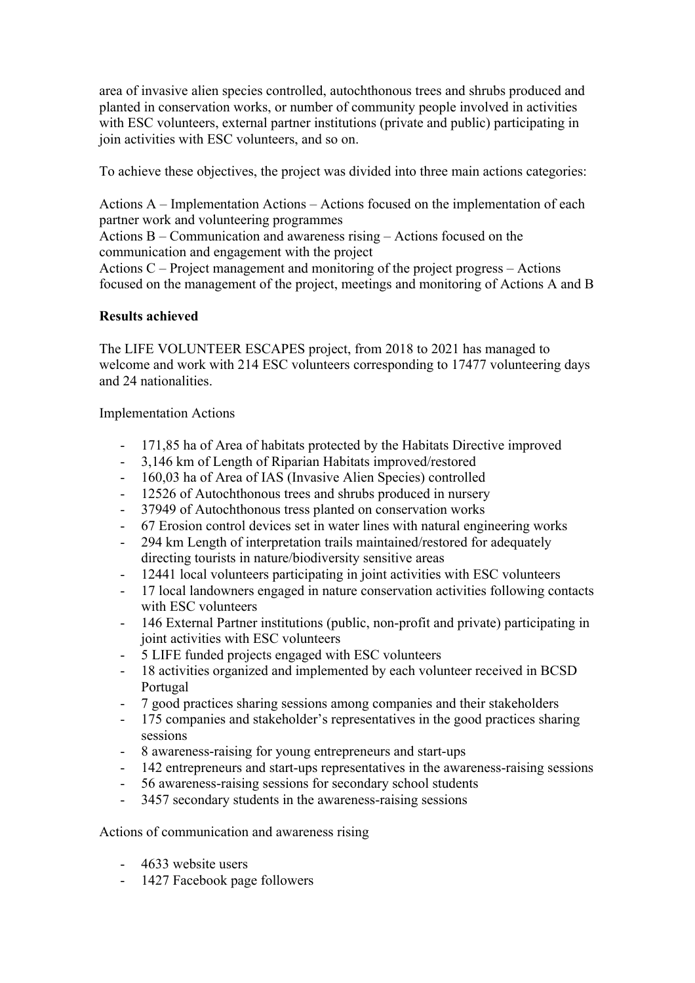area of invasive alien species controlled, autochthonous trees and shrubs produced and planted in conservation works, or number of community people involved in activities with ESC volunteers, external partner institutions (private and public) participating in join activities with ESC volunteers, and so on.

To achieve these objectives, the project was divided into three main actions categories:

Actions A – Implementation Actions – Actions focused on the implementation of each partner work and volunteering programmes

Actions B – Communication and awareness rising – Actions focused on the communication and engagement with the project

Actions C – Project management and monitoring of the project progress – Actions focused on the management of the project, meetings and monitoring of Actions A and B

#### **Results achieved**

The LIFE VOLUNTEER ESCAPES project, from 2018 to 2021 has managed to welcome and work with 214 ESC volunteers corresponding to 17477 volunteering days and 24 nationalities.

Implementation Actions

- 171,85 ha of Area of habitats protected by the Habitats Directive improved
- 3,146 km of Length of Riparian Habitats improved/restored
- 160,03 ha of Area of IAS (Invasive Alien Species) controlled
- 12526 of Autochthonous trees and shrubs produced in nursery
- 37949 of Autochthonous tress planted on conservation works
- 67 Erosion control devices set in water lines with natural engineering works
- 294 km Length of interpretation trails maintained/restored for adequately directing tourists in nature/biodiversity sensitive areas
- 12441 local volunteers participating in joint activities with ESC volunteers
- 17 local landowners engaged in nature conservation activities following contacts with ESC volunteers
- 146 External Partner institutions (public, non-profit and private) participating in joint activities with ESC volunteers
- 5 LIFE funded projects engaged with ESC volunteers
- 18 activities organized and implemented by each volunteer received in BCSD Portugal
- 7 good practices sharing sessions among companies and their stakeholders
- 175 companies and stakeholder's representatives in the good practices sharing sessions
- 8 awareness-raising for young entrepreneurs and start-ups
- 142 entrepreneurs and start-ups representatives in the awareness-raising sessions
- 56 awareness-raising sessions for secondary school students
- 3457 secondary students in the awareness-raising sessions

#### Actions of communication and awareness rising

- 4633 website users
- 1427 Facebook page followers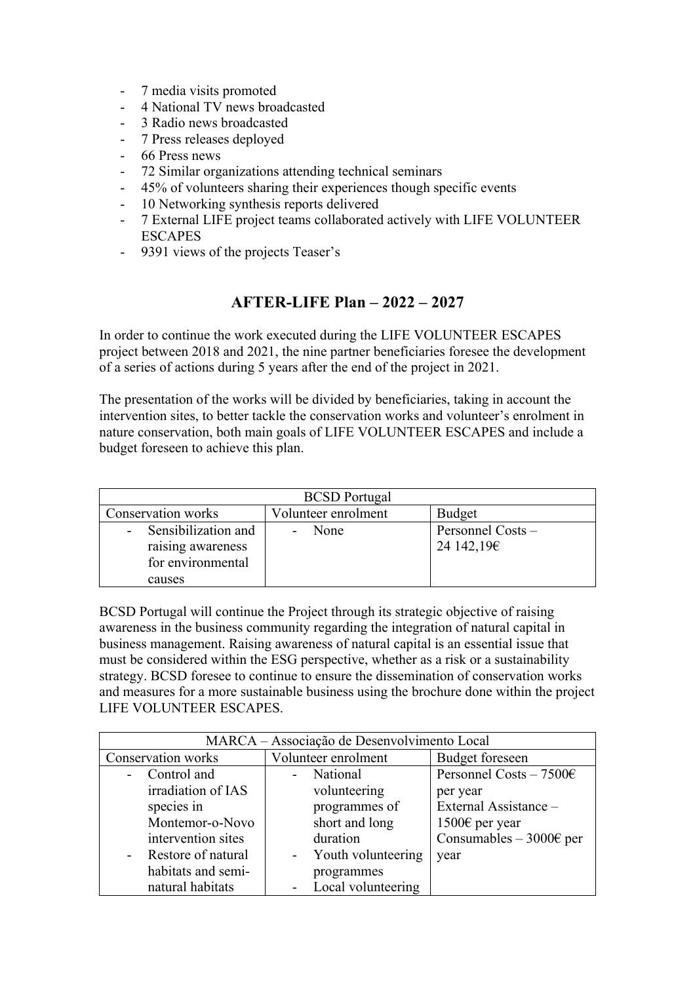- 7 media visits promoted
- 4 National TV news broadcasted
- 3 Radio news broadcasted
- 7 Press releases deployed
- 66 Press news
- 72 Similar organizations attending technical seminars
- 45% of volunteers sharing their experiences though specific events
- 10 Networking synthesis reports delivered
- 7 External LIFE project teams collaborated actively with LIFE VOLUNTEER **ESCAPES**
- 9391 views of the projects Teaser's

# **AFTER-LIFE Plan – 2022 – 2027**

In order to continue the work executed during the LIFE VOLUNTEER ESCAPES project between 2018 and 2021, the nine partner beneficiaries foresee the development of a series of actions during 5 years after the end of the project in 2021.

The presentation of the works will be divided by beneficiaries, taking in account the intervention sites, to better tackle the conservation works and volunteer's enrolment in nature conservation, both main goals of LIFE VOLUNTEER ESCAPES and include a budget foreseen to achieve this plan.

| <b>BCSD</b> Portugal                                            |                                  |                                 |
|-----------------------------------------------------------------|----------------------------------|---------------------------------|
| Conservation works                                              | Volunteer enrolment              | <b>Budget</b>                   |
| - Sensibilization and<br>raising awareness<br>for environmental | None<br>$\overline{\phantom{a}}$ | Personnel Costs -<br>24 142,19€ |
| causes                                                          |                                  |                                 |

BCSD Portugal will continue the Project through its strategic objective of raising awareness in the business community regarding the integration of natural capital in business management. Raising awareness of natural capital is an essential issue that must be considered within the ESG perspective, whether as a risk or a sustainability strategy. BCSD foresee to continue to ensure the dissemination of conservation works and measures for a more sustainable business using the brochure done within the project LIFE VOLUNTEER ESCAPES.

| MARCA - Associação de Desenvolvimento Local |                                      |                                   |
|---------------------------------------------|--------------------------------------|-----------------------------------|
| Conservation works                          | Volunteer enrolment                  | <b>Budget</b> foreseen            |
| - Control and                               | - National                           | Personnel Costs $-7500$ €         |
| irradiation of IAS                          | volunteering                         | per year                          |
| species in                                  | programmes of                        | External Assistance -             |
| Montemor-o-Novo                             | short and long                       | 1500€ per year                    |
| intervention sites                          | duration                             | Consumables – 3000 $\epsilon$ per |
| - Restore of natural                        | Youth volunteering<br>$\blacksquare$ | year                              |
| habitats and semi-                          | programmes                           |                                   |
| natural habitats                            | Local volunteering                   |                                   |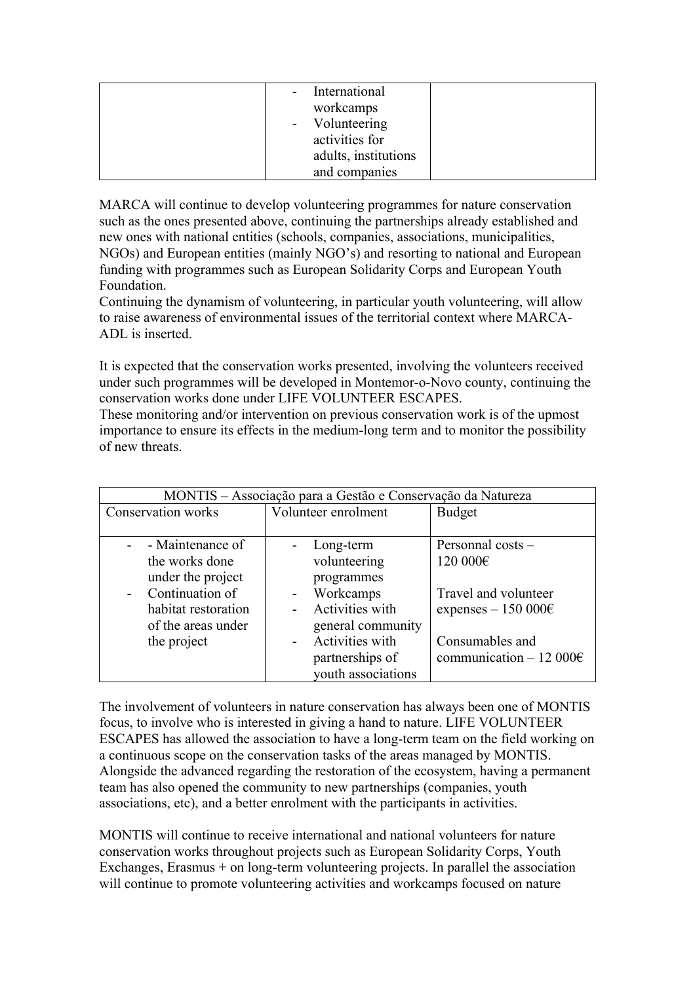| - International      |  |
|----------------------|--|
| workcamps            |  |
| - Volunteering       |  |
| activities for       |  |
| adults, institutions |  |
| and companies        |  |

MARCA will continue to develop volunteering programmes for nature conservation such as the ones presented above, continuing the partnerships already established and new ones with national entities (schools, companies, associations, municipalities, NGOs) and European entities (mainly NGO's) and resorting to national and European funding with programmes such as European Solidarity Corps and European Youth Foundation.

Continuing the dynamism of volunteering, in particular youth volunteering, will allow to raise awareness of environmental issues of the territorial context where MARCA-ADL is inserted.

It is expected that the conservation works presented, involving the volunteers received under such programmes will be developed in Montemor-o-Novo county, continuing the conservation works done under LIFE VOLUNTEER ESCAPES.

These monitoring and/or intervention on previous conservation work is of the upmost importance to ensure its effects in the medium-long term and to monitor the possibility of new threats.

| MONTIS - Associação para a Gestão e Conservação da Natureza                                                                                |                                                                                                                                                                                                                                    |                                                                                                                                         |
|--------------------------------------------------------------------------------------------------------------------------------------------|------------------------------------------------------------------------------------------------------------------------------------------------------------------------------------------------------------------------------------|-----------------------------------------------------------------------------------------------------------------------------------------|
| Conservation works                                                                                                                         | Volunteer enrolment                                                                                                                                                                                                                | <b>Budget</b>                                                                                                                           |
| - - Maintenance of<br>the works done<br>under the project<br>- Continuation of<br>habitat restoration<br>of the areas under<br>the project | Long-term<br>$\overline{\phantom{0}}$<br>volunteering<br>programmes<br>Workcamps<br>$\overline{\phantom{0}}$<br>Activities with<br>general community<br>Activities with<br>$\blacksquare$<br>partnerships of<br>youth associations | Personnal costs -<br>120 000€<br>Travel and volunteer<br>expenses $-150000 \in$<br>Consumables and<br>communication $-12000\varepsilon$ |

The involvement of volunteers in nature conservation has always been one of MONTIS focus, to involve who is interested in giving a hand to nature. LIFE VOLUNTEER ESCAPES has allowed the association to have a long-term team on the field working on a continuous scope on the conservation tasks of the areas managed by MONTIS. Alongside the advanced regarding the restoration of the ecosystem, having a permanent team has also opened the community to new partnerships (companies, youth associations, etc), and a better enrolment with the participants in activities.

MONTIS will continue to receive international and national volunteers for nature conservation works throughout projects such as European Solidarity Corps, Youth Exchanges, Erasmus  $+$  on long-term volunteering projects. In parallel the association will continue to promote volunteering activities and workcamps focused on nature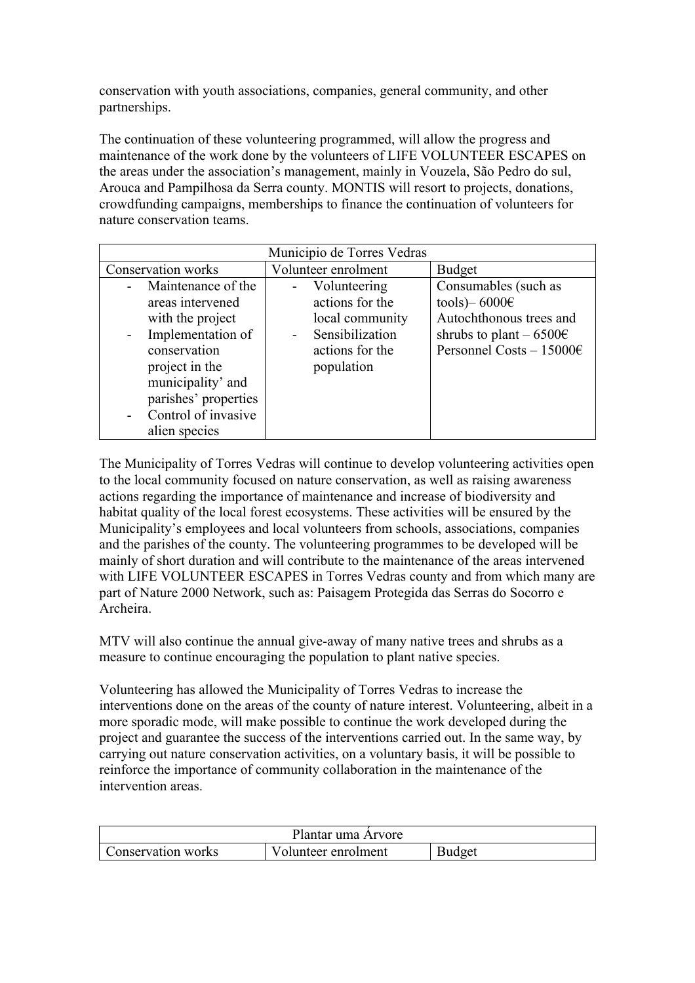conservation with youth associations, companies, general community, and other partnerships.

The continuation of these volunteering programmed, will allow the progress and maintenance of the work done by the volunteers of LIFE VOLUNTEER ESCAPES on the areas under the association's management, mainly in Vouzela, São Pedro do sul, Arouca and Pampilhosa da Serra county. MONTIS will resort to projects, donations, crowdfunding campaigns, memberships to finance the continuation of volunteers for nature conservation teams.

| Municipio de Torres Vedras                                                                                                                                                                                 |                                                                                                                        |                                                                                                                                             |
|------------------------------------------------------------------------------------------------------------------------------------------------------------------------------------------------------------|------------------------------------------------------------------------------------------------------------------------|---------------------------------------------------------------------------------------------------------------------------------------------|
| Conservation works                                                                                                                                                                                         | Volunteer enrolment                                                                                                    | Budget                                                                                                                                      |
| - Maintenance of the<br>areas intervened<br>with the project<br>Implementation of<br>conservation<br>project in the<br>municipality' and<br>parishes' properties<br>- Control of invasive<br>alien species | - Volunteering<br>actions for the<br>local community<br>Sensibilization<br>$\sim 100$<br>actions for the<br>population | Consumables (such as<br>tools) – 6000 $\epsilon$<br>Autochthonous trees and<br>shrubs to plant $-6500 \in$<br>Personnel Costs - $15000 \in$ |

The Municipality of Torres Vedras will continue to develop volunteering activities open to the local community focused on nature conservation, as well as raising awareness actions regarding the importance of maintenance and increase of biodiversity and habitat quality of the local forest ecosystems. These activities will be ensured by the Municipality's employees and local volunteers from schools, associations, companies and the parishes of the county. The volunteering programmes to be developed will be mainly of short duration and will contribute to the maintenance of the areas intervened with LIFE VOLUNTEER ESCAPES in Torres Vedras county and from which many are part of Nature 2000 Network, such as: Paisagem Protegida das Serras do Socorro e Archeira.

MTV will also continue the annual give-away of many native trees and shrubs as a measure to continue encouraging the population to plant native species.

Volunteering has allowed the Municipality of Torres Vedras to increase the interventions done on the areas of the county of nature interest. Volunteering, albeit in a more sporadic mode, will make possible to continue the work developed during the project and guarantee the success of the interventions carried out. In the same way, by carrying out nature conservation activities, on a voluntary basis, it will be possible to reinforce the importance of community collaboration in the maintenance of the intervention areas.

| Plantar uma Arvore |                     |               |
|--------------------|---------------------|---------------|
| Conservation works | Volunteer enrolment | <b>Budget</b> |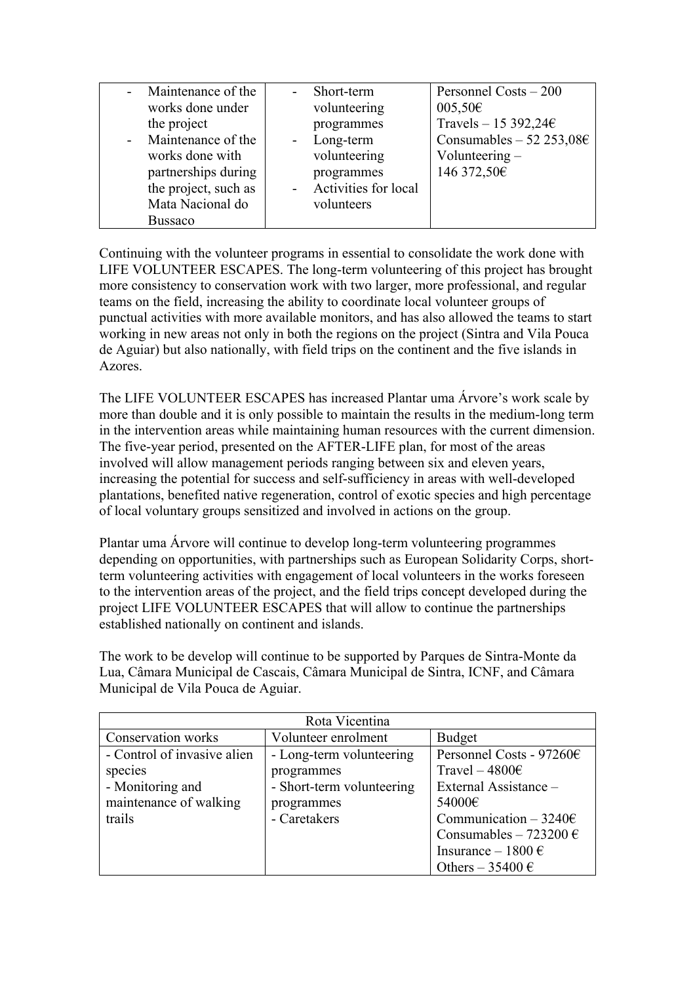| - Maintenance of the | Short-term                            | Personnel Costs – 200          |
|----------------------|---------------------------------------|--------------------------------|
| works done under     | volunteering                          | $005,50 \in$                   |
| the project          | programmes                            | Travels – 15 392,24 $\epsilon$ |
| - Maintenance of the | Long-term<br>$\overline{\phantom{0}}$ | Consumables $-52$ 253,08€      |
| works done with      | volunteering                          | Volunteering $-$               |
| partnerships during  | programmes                            | 146 372,50€                    |
| the project, such as | <b>Activities for local</b>           |                                |
| Mata Nacional do     | volunteers                            |                                |
| <b>Bussaco</b>       |                                       |                                |

Continuing with the volunteer programs in essential to consolidate the work done with LIFE VOLUNTEER ESCAPES. The long-term volunteering of this project has brought more consistency to conservation work with two larger, more professional, and regular teams on the field, increasing the ability to coordinate local volunteer groups of punctual activities with more available monitors, and has also allowed the teams to start working in new areas not only in both the regions on the project (Sintra and Vila Pouca de Aguiar) but also nationally, with field trips on the continent and the five islands in Azores.

The LIFE VOLUNTEER ESCAPES has increased Plantar uma Árvore's work scale by more than double and it is only possible to maintain the results in the medium-long term in the intervention areas while maintaining human resources with the current dimension. The five-year period, presented on the AFTER-LIFE plan, for most of the areas involved will allow management periods ranging between six and eleven years, increasing the potential for success and self-sufficiency in areas with well-developed plantations, benefited native regeneration, control of exotic species and high percentage of local voluntary groups sensitized and involved in actions on the group.

Plantar uma Árvore will continue to develop long-term volunteering programmes depending on opportunities, with partnerships such as European Solidarity Corps, shortterm volunteering activities with engagement of local volunteers in the works foreseen to the intervention areas of the project, and the field trips concept developed during the project LIFE VOLUNTEER ESCAPES that will allow to continue the partnerships established nationally on continent and islands.

The work to be develop will continue to be supported by Parques de Sintra-Monte da Lua, Câmara Municipal de Cascais, Câmara Municipal de Sintra, ICNF, and Câmara Municipal de Vila Pouca de Aguiar.

| Rota Vicentina              |                           |                                    |
|-----------------------------|---------------------------|------------------------------------|
| Conservation works          | Volunteer enrolment       | Budget                             |
| - Control of invasive alien | - Long-term volunteering  | Personnel Costs - 97260 $\epsilon$ |
| species                     | programmes                | Travel – $4800\epsilon$            |
| - Monitoring and            | - Short-term volunteering | External Assistance -              |
| maintenance of walking      | programmes                | 54000€                             |
| trails                      | - Caretakers              | Communication $-3240\epsilon$      |
|                             |                           | Consumables - $723200 \in$         |
|                             |                           | Insurance – $1800 \text{ } \in$    |
|                             |                           | Others $-35400 \in$                |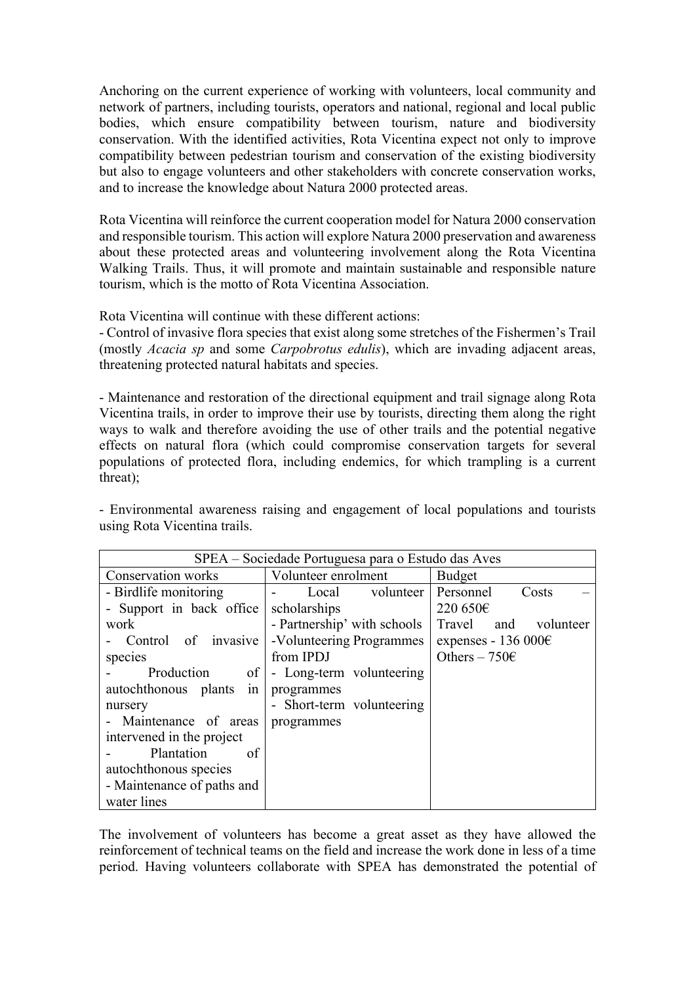Anchoring on the current experience of working with volunteers, local community and network of partners, including tourists, operators and national, regional and local public bodies, which ensure compatibility between tourism, nature and biodiversity conservation. With the identified activities, Rota Vicentina expect not only to improve compatibility between pedestrian tourism and conservation of the existing biodiversity but also to engage volunteers and other stakeholders with concrete conservation works, and to increase the knowledge about Natura 2000 protected areas.

Rota Vicentina will reinforce the current cooperation model for Natura 2000 conservation and responsible tourism. This action will explore Natura 2000 preservation and awareness about these protected areas and volunteering involvement along the Rota Vicentina Walking Trails. Thus, it will promote and maintain sustainable and responsible nature tourism, which is the motto of Rota Vicentina Association.

Rota Vicentina will continue with these different actions:

- Control of invasive flora species that exist along some stretches of the Fishermen's Trail (mostly *Acacia sp* and some *Carpobrotus edulis*), which are invading adjacent areas, threatening protected natural habitats and species.

- Maintenance and restoration of the directional equipment and trail signage along Rota Vicentina trails, in order to improve their use by tourists, directing them along the right ways to walk and therefore avoiding the use of other trails and the potential negative effects on natural flora (which could compromise conservation targets for several populations of protected flora, including endemics, for which trampling is a current threat);

- Environmental awareness raising and engagement of local populations and tourists using Rota Vicentina trails.

| SPEA – Sociedade Portuguesa para o Estudo das Aves |                             |                               |
|----------------------------------------------------|-----------------------------|-------------------------------|
| Conservation works                                 | Volunteer enrolment         | <b>Budget</b>                 |
| - Birdlife monitoring                              | Local volunteer             | Personnel<br>Costs            |
| - Support in back office                           | scholarships                | 220 650€                      |
| work                                               | - Partnership' with schools | and volunteer<br>Travel       |
| Control of invasive                                | -Volunteering Programmes    | expenses - 136 000 $\epsilon$ |
| species                                            | from IPDJ                   | Others $-750$ €               |
| Production<br>of <sub>1</sub>                      | - Long-term volunteering    |                               |
| autochthonous plants<br>in <sub>1</sub>            | programmes                  |                               |
| nursery                                            | - Short-term volunteering   |                               |
| - Maintenance of areas                             | programmes                  |                               |
| intervened in the project                          |                             |                               |
| Plantation<br>of                                   |                             |                               |
| autochthonous species                              |                             |                               |
| - Maintenance of paths and                         |                             |                               |
| water lines                                        |                             |                               |

The involvement of volunteers has become a great asset as they have allowed the reinforcement of technical teams on the field and increase the work done in less of a time period. Having volunteers collaborate with SPEA has demonstrated the potential of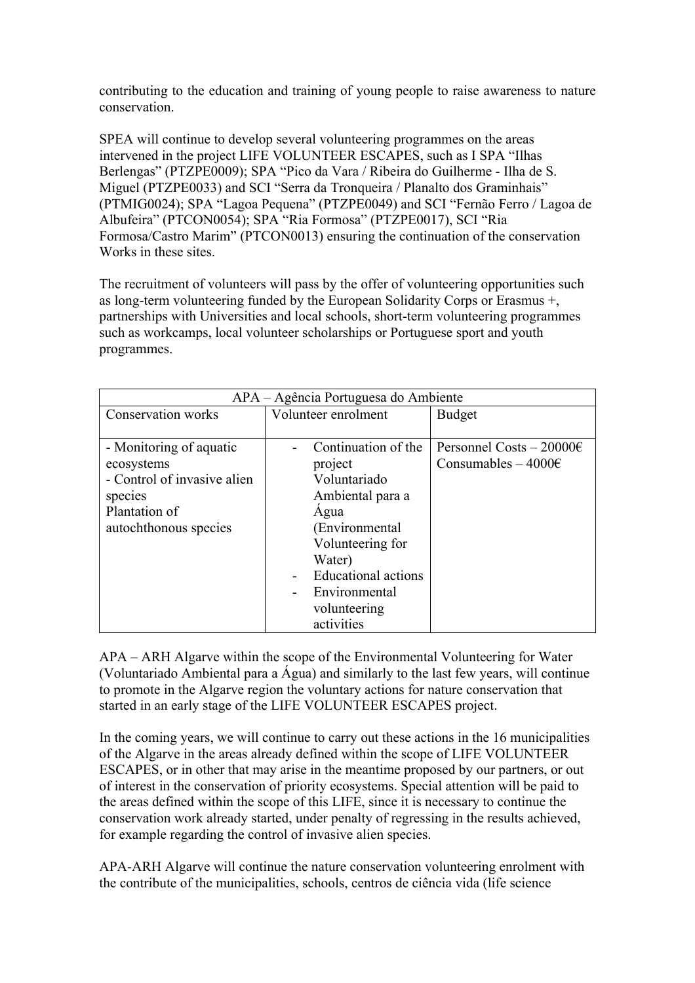contributing to the education and training of young people to raise awareness to nature conservation.

SPEA will continue to develop several volunteering programmes on the areas intervened in the project LIFE VOLUNTEER ESCAPES, such as I SPA "Ilhas Berlengas" (PTZPE0009); SPA "Pico da Vara / Ribeira do Guilherme - Ilha de S. Miguel (PTZPE0033) and SCI "Serra da Tronqueira / Planalto dos Graminhais" (PTMIG0024); SPA "Lagoa Pequena" (PTZPE0049) and SCI "Fernão Ferro / Lagoa de Albufeira" (PTCON0054); SPA "Ria Formosa" (PTZPE0017), SCI "Ria Formosa/Castro Marim" (PTCON0013) ensuring the continuation of the conservation Works in these sites.

The recruitment of volunteers will pass by the offer of volunteering opportunities such as long-term volunteering funded by the European Solidarity Corps or Erasmus +, partnerships with Universities and local schools, short-term volunteering programmes such as workcamps, local volunteer scholarships or Portuguese sport and youth programmes.

| APA – Agência Portuguesa do Ambiente |                            |                              |
|--------------------------------------|----------------------------|------------------------------|
| Conservation works                   | Volunteer enrolment        | <b>Budget</b>                |
|                                      |                            |                              |
| - Monitoring of aquatic              | Continuation of the        | Personnel Costs $-20000 \in$ |
| ecosystems                           | project                    | Consumables $-4000 \in$      |
| - Control of invasive alien          | Voluntariado               |                              |
| species                              | Ambiental para a           |                              |
| Plantation of                        | Agua                       |                              |
| autochthonous species                | (Environmental             |                              |
|                                      | Volunteering for           |                              |
|                                      | Water)                     |                              |
|                                      | <b>Educational actions</b> |                              |
|                                      | Environmental              |                              |
|                                      | volunteering               |                              |
|                                      | activities                 |                              |

APA – ARH Algarve within the scope of the Environmental Volunteering for Water (Voluntariado Ambiental para a Água) and similarly to the last few years, will continue to promote in the Algarve region the voluntary actions for nature conservation that started in an early stage of the LIFE VOLUNTEER ESCAPES project.

In the coming years, we will continue to carry out these actions in the 16 municipalities of the Algarve in the areas already defined within the scope of LIFE VOLUNTEER ESCAPES, or in other that may arise in the meantime proposed by our partners, or out of interest in the conservation of priority ecosystems. Special attention will be paid to the areas defined within the scope of this LIFE, since it is necessary to continue the conservation work already started, under penalty of regressing in the results achieved, for example regarding the control of invasive alien species.

APA-ARH Algarve will continue the nature conservation volunteering enrolment with the contribute of the municipalities, schools, centros de ciência vida (life science